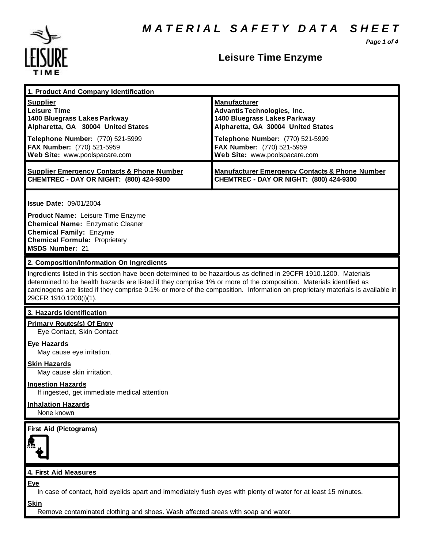*Page 1 of 4*



### **Leisure Time Enzyme**

| 1. Product And Company Identification                                                                                                                                                                                                                                                                                                                                                             |                                                                                                                                                                                                                                    |
|---------------------------------------------------------------------------------------------------------------------------------------------------------------------------------------------------------------------------------------------------------------------------------------------------------------------------------------------------------------------------------------------------|------------------------------------------------------------------------------------------------------------------------------------------------------------------------------------------------------------------------------------|
| <b>Supplier</b><br><b>Leisure Time</b><br>1400 Bluegrass Lakes Parkway<br>Alpharetta, GA 30004 United States<br>Telephone Number: (770) 521-5999<br>FAX Number: (770) 521-5959<br>Web Site: www.poolspacare.com                                                                                                                                                                                   | <b>Manufacturer</b><br><b>Advantis Technologies, Inc.</b><br>1400 Bluegrass Lakes Parkway<br>Alpharetta, GA 30004 United States<br>Telephone Number: (770) 521-5999<br>FAX Number: (770) 521-5959<br>Web Site: www.poolspacare.com |
| <b>Supplier Emergency Contacts &amp; Phone Number</b><br>CHEMTREC - DAY OR NIGHT: (800) 424-9300                                                                                                                                                                                                                                                                                                  | <b>Manufacturer Emergency Contacts &amp; Phone Number</b><br>CHEMTREC - DAY OR NIGHT: (800) 424-9300                                                                                                                               |
| <b>Issue Date: 09/01/2004</b><br>Product Name: Leisure Time Enzyme<br><b>Chemical Name: Enzymatic Cleaner</b><br><b>Chemical Family: Enzyme</b><br><b>Chemical Formula: Proprietary</b><br><b>MSDS Number: 21</b>                                                                                                                                                                                 |                                                                                                                                                                                                                                    |
| 2. Composition/Information On Ingredients                                                                                                                                                                                                                                                                                                                                                         |                                                                                                                                                                                                                                    |
| Ingredients listed in this section have been determined to be hazardous as defined in 29CFR 1910.1200. Materials<br>determined to be health hazards are listed if they comprise 1% or more of the composition. Materials identified as<br>carcinogens are listed if they comprise 0.1% or more of the composition. Information on proprietary materials is available in<br>29CFR 1910.1200(i)(1). |                                                                                                                                                                                                                                    |
| 3. Hazards Identification                                                                                                                                                                                                                                                                                                                                                                         |                                                                                                                                                                                                                                    |
| <b>Primary Routes(s) Of Entry</b><br>Eye Contact, Skin Contact                                                                                                                                                                                                                                                                                                                                    |                                                                                                                                                                                                                                    |
| <b>Eye Hazards</b><br>May cause eye irritation.                                                                                                                                                                                                                                                                                                                                                   |                                                                                                                                                                                                                                    |
| Skin Hazards<br>May cause skin irritation.                                                                                                                                                                                                                                                                                                                                                        |                                                                                                                                                                                                                                    |
| <b>Ingestion Hazards</b><br>If ingested, get immediate medical attention                                                                                                                                                                                                                                                                                                                          |                                                                                                                                                                                                                                    |
| <b>Inhalation Hazards</b><br>None known                                                                                                                                                                                                                                                                                                                                                           |                                                                                                                                                                                                                                    |
| <b>First Aid (Pictograms)</b>                                                                                                                                                                                                                                                                                                                                                                     |                                                                                                                                                                                                                                    |
| 4. First Aid Measures                                                                                                                                                                                                                                                                                                                                                                             |                                                                                                                                                                                                                                    |
| <b>Eye</b><br>In case of contact, hold eyelids apart and immediately flush eyes with plenty of water for at least 15 minutes.                                                                                                                                                                                                                                                                     |                                                                                                                                                                                                                                    |
| <b>Skin</b>                                                                                                                                                                                                                                                                                                                                                                                       |                                                                                                                                                                                                                                    |

Remove contaminated clothing and shoes. Wash affected areas with soap and water.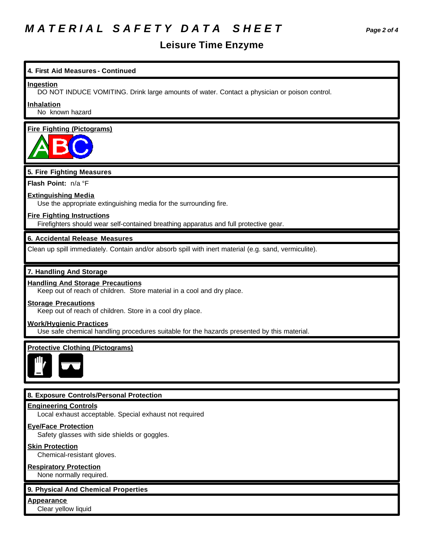## *M A T E R I A L S A F E T Y D A T A S H E E T Page 2 of 4*

### **Leisure Time Enzyme**

# **4. First Aid Measures - Continued Ingestion** DO NOT INDUCE VOMITING. Drink large amounts of water. Contact a physician or poison control. **Inhalation** No known hazard **Fire Fighting (Pictograms) 5. Fire Fighting Measures Flash Point:** n/a °F **Extinguishing Media** Use the appropriate extinguishing media for the surrounding fire. **Fire Fighting Instructions** Firefighters should wear self-contained breathing apparatus and full protective gear. **6. Accidental Release Measures** Clean up spill immediately. Contain and/or absorb spill with inert material (e.g. sand, vermiculite). **7. Handling And Storage Handling And Storage Precautions** Keep out of reach of children. Store material in a cool and dry place. **Storage Precautions** Keep out of reach of children. Store in a cool dry place. **Work/Hygienic Practices** Use safe chemical handling procedures suitable for the hazards presented by this material. **Protective Clothing (Pictograms) 8. Exposure Controls/Personal Protection Engineering Controls** Local exhaust acceptable. Special exhaust not required **Eye/Face Protection** Safety glasses with side shields or goggles. **Skin Protection** Chemical-resistant gloves. **Respiratory Protection** None normally required.

#### **9. Physical And Chemical Properties**

**Appearance**

Clear yellow liquid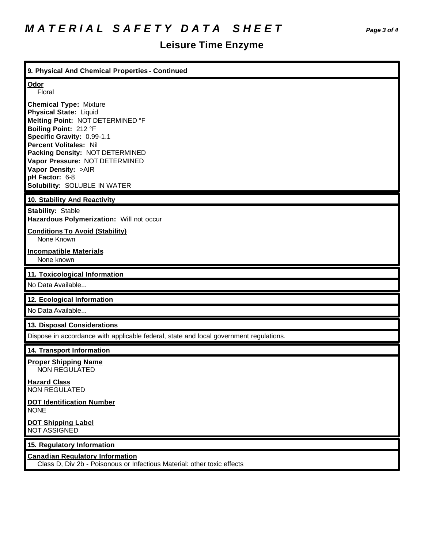## **Leisure Time Enzyme**

| 9. Physical And Chemical Properties - Continued                                                                                                                                                                                                                                                                                          |
|------------------------------------------------------------------------------------------------------------------------------------------------------------------------------------------------------------------------------------------------------------------------------------------------------------------------------------------|
| Odor<br>Floral                                                                                                                                                                                                                                                                                                                           |
| <b>Chemical Type: Mixture</b><br><b>Physical State: Liquid</b><br>Melting Point: NOT DETERMINED °F<br>Boiling Point: 212 °F<br>Specific Gravity: 0.99-1.1<br><b>Percent Volitales: Nil</b><br>Packing Density: NOT DETERMINED<br>Vapor Pressure: NOT DETERMINED<br>Vapor Density: >AIR<br>pH Factor: 6-8<br>Solubility: SOLUBLE IN WATER |
| 10. Stability And Reactivity                                                                                                                                                                                                                                                                                                             |
| <b>Stability: Stable</b><br>Hazardous Polymerization: Will not occur                                                                                                                                                                                                                                                                     |
| <b>Conditions To Avoid (Stability)</b><br>None Known                                                                                                                                                                                                                                                                                     |
| <b>Incompatible Materials</b><br>None known                                                                                                                                                                                                                                                                                              |
|                                                                                                                                                                                                                                                                                                                                          |
| 11. Toxicological Information<br>No Data Available                                                                                                                                                                                                                                                                                       |
| 12. Ecological Information                                                                                                                                                                                                                                                                                                               |
| No Data Available                                                                                                                                                                                                                                                                                                                        |
| 13. Disposal Considerations                                                                                                                                                                                                                                                                                                              |
| Dispose in accordance with applicable federal, state and local government regulations.                                                                                                                                                                                                                                                   |
| 14. Transport Information                                                                                                                                                                                                                                                                                                                |
| <b>Proper Shipping Name</b><br><b>NON REGULATED</b>                                                                                                                                                                                                                                                                                      |
| <b>Hazard Class</b><br><b>NON REGULATED</b>                                                                                                                                                                                                                                                                                              |
| <b>DOT Identification Number</b><br><b>NONE</b>                                                                                                                                                                                                                                                                                          |
| <b>DOT Shipping Label</b><br><b>NOT ASSIGNED</b>                                                                                                                                                                                                                                                                                         |
| 15. Regulatory Information                                                                                                                                                                                                                                                                                                               |